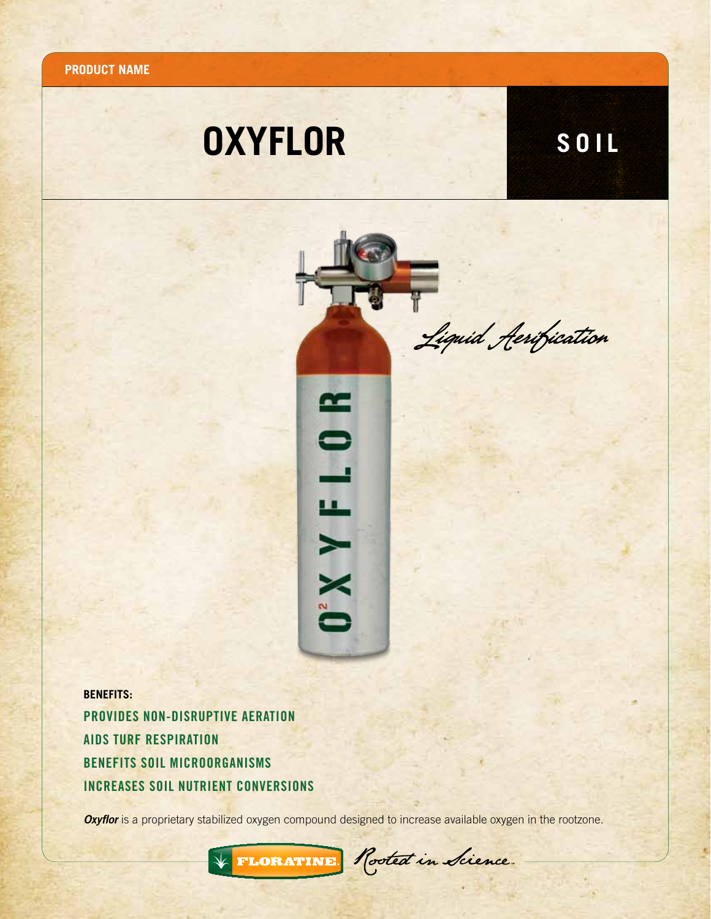**Product name**

## **OXYFLOR**

**SOIL**



**BENEFITS:**  PROVIDES Non-Disruptive Aeration AIDS Turf Respiration Benefits Soil Microorganisms increases Soil Nutrient Conversions

 $\sqrt{\epsilon}$ 

**Oxyflor** is a proprietary stabilized oxygen compound designed to increase available oxygen in the rootzone.

FLORATINE Rooted in Sience.